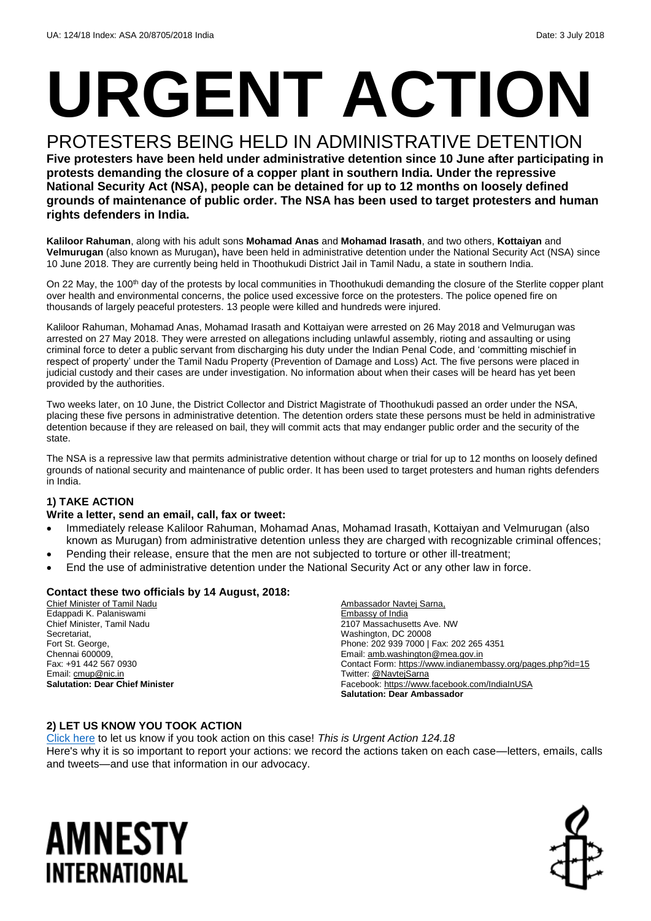# **URGENT ACTION**

PROTESTERS BEING HELD IN ADMINISTRATIVE DETENTION **Five protesters have been held under administrative detention since 10 June after participating in protests demanding the closure of a copper plant in southern India. Under the repressive National Security Act (NSA), people can be detained for up to 12 months on loosely defined grounds of maintenance of public order. The NSA has been used to target protesters and human rights defenders in India.**

**Kaliloor Rahuman**, along with his adult sons **Mohamad Anas** and **Mohamad Irasath**, and two others, **Kottaiyan** and **Velmurugan** (also known as Murugan)**,** have been held in administrative detention under the National Security Act (NSA) since 10 June 2018. They are currently being held in Thoothukudi District Jail in Tamil Nadu, a state in southern India.

On 22 May, the 100<sup>th</sup> day of the protests by local communities in Thoothukudi demanding the closure of the Sterlite copper plant over health and environmental concerns, the police used excessive force on the protesters. The police opened fire on thousands of largely peaceful protesters. 13 people were killed and hundreds were injured.

Kaliloor Rahuman, Mohamad Anas, Mohamad Irasath and Kottaiyan were arrested on 26 May 2018 and Velmurugan was arrested on 27 May 2018. They were arrested on allegations including unlawful assembly, rioting and assaulting or using criminal force to deter a public servant from discharging his duty under the Indian Penal Code, and 'committing mischief in respect of property' under th[e Tamil Nadu Property \(Prevention of Damage and Loss\)](https://www.legalcrystal.com/act/137195/tamil-nadu-property-prevention-of-damage-and-loss-act-1992-complete-act) Act. The five persons were placed in judicial custody and their cases are under investigation. No information about when their cases will be heard has yet been provided by the authorities.

Two weeks later, on 10 June, the District Collector and District Magistrate of Thoothukudi passed an order under the NSA, placing these five persons in administrative detention. The detention orders state these persons must be held in administrative detention because if they are released on bail, they will commit acts that may endanger public order and the security of the state.

The NSA is a repressive law that permits administrative detention without charge or trial for up to 12 months on loosely defined grounds of national security and maintenance of public order. It has been used to target protesters and human rights defenders in India.

#### **1) TAKE ACTION**

#### **Write a letter, send an email, call, fax or tweet:**

- Immediately release Kaliloor Rahuman, Mohamad Anas, Mohamad Irasath, Kottaiyan and Velmurugan (also known as Murugan) from administrative detention unless they are charged with recognizable criminal offences;
- Pending their release, ensure that the men are not subjected to torture or other ill-treatment;
- End the use of administrative detention under the National Security Act or any other law in force.

#### **Contact these two officials by 14 August, 2018:**

Chief Minister of Tamil Nadu Edappadi K. Palaniswami Chief Minister, Tamil Nadu Secretariat, Fort St. George, Chennai 600009, Fax: +91 442 567 0930 Email: [cmup@nic.in](mailto:cmup@nic.in) **Salutation: Dear Chief Minister** Ambassador Navtej Sarna, Embassy of India 2107 Massachusetts Ave. NW Washington, DC 20008 Phone: 202 939 7000 | Fax: 202 265 4351 Email[: amb.washington@mea.gov.in](mailto:amb.washington@mea.gov.in)  Contact Form[: https://www.indianembassy.org/pages.php?id=15](https://www.indianembassy.org/pages.php?id=15) Twitter[: @NavtejSarna](https://twitter.com/navtejsarna?lang=en) Facebook[: https://www.facebook.com/IndiaInUSA](https://www.facebook.com/IndiaInUSA) **Salutation: Dear Ambassador**

#### **2) LET US KNOW YOU TOOK ACTION**

[Click here](https://www.amnestyusa.org/report-urgent-actions/) to let us know if you took action on this case! *This is Urgent Action 124.18* Here's why it is so important to report your actions: we record the actions taken on each case—letters, emails, calls and tweets—and use that information in our advocacy.